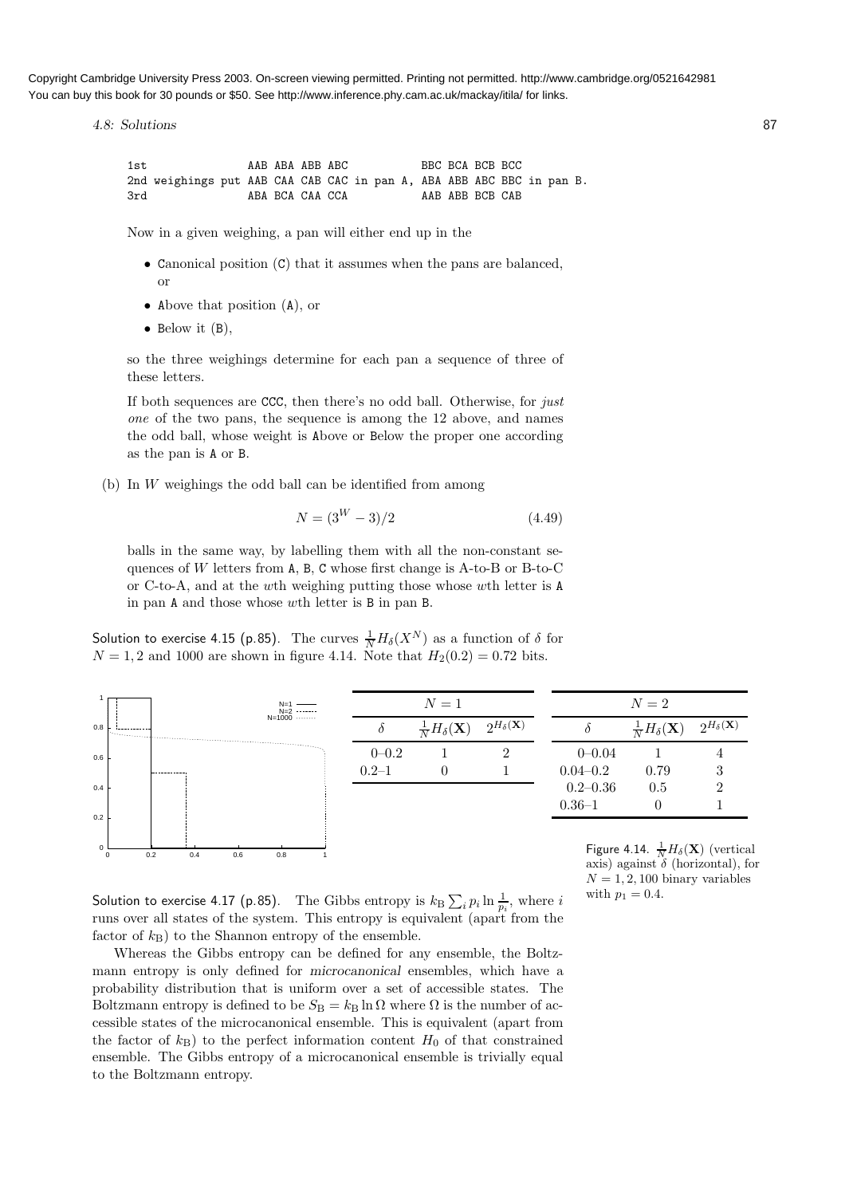Copyright Cambridge University Press 2003. On-screen viewing permitted. Printing not permitted. http://www.cambridge.org/0521642981 You can buy this book for 30 pounds or \$50. See http://www.inference.phy.cam.ac.uk/mackay/itila/ for links.

4.8: Solutions 87

1st AAB ABA ABB ABC BBC BCA BCB BCC 2nd weighings put AAB CAA CAB CAC in pan A, ABA ABB ABC BBC in pan B. 3rd ABA BCA CAA CCA AAB ABB BCB CAB

Now in a given weighing, a pan will either end up in the

- Canonical position (C) that it assumes when the pans are balanced, or
- Above that position (A), or
- Below it  $(B)$ ,

so the three weighings determine for each pan a sequence of three of these letters.

If both sequences are CCC, then there's no odd ball. Otherwise, for just one of the two pans, the sequence is among the 12 above, and names the odd ball, whose weight is Above or Below the proper one according as the pan is A or B.

(b) In W weighings the odd ball can be identified from among

$$
N = (3^W - 3)/2 \tag{4.49}
$$

balls in the same way, by labelling them with all the non-constant sequences of  $W$  letters from  $A$ ,  $B$ ,  $C$  whose first change is  $A$ -to- $B$  or  $B$ -to- $C$ or C-to-A, and at the wth weighing putting those whose wth letter is A in pan A and those whose wth letter is B in pan B.

Solution to exercise 4.15 (p.85). The curves  $\frac{1}{N}H_\delta(X^N)$  as a function of  $\delta$  for  $N = 1, 2$  and 1000 are shown in figure 4.14. Note that  $H_2(0.2) = 0.72$  bits.



axis) against  $\delta$  (horizontal), for  $N = 1, 2, 100$  binary variables

Solution to exercise 4.17 (p.85). The Gibbs entropy is  $k_{\text{B}}\sum_i p_i \ln \frac{1}{p_i}$ , where  $i$  with  $p_1 = 0.4$ . runs over all states of the system. This entropy is equivalent (apart from the factor of  $k_B$ ) to the Shannon entropy of the ensemble.

Whereas the Gibbs entropy can be defined for any ensemble, the Boltzmann entropy is only defined for microcanonical ensembles, which have a probability distribution that is uniform over a set of accessible states. The Boltzmann entropy is defined to be  $S_B = k_B \ln \Omega$  where  $\Omega$  is the number of accessible states of the microcanonical ensemble. This is equivalent (apart from the factor of  $k_B$ ) to the perfect information content  $H_0$  of that constrained ensemble. The Gibbs entropy of a microcanonical ensemble is trivially equal to the Boltzmann entropy.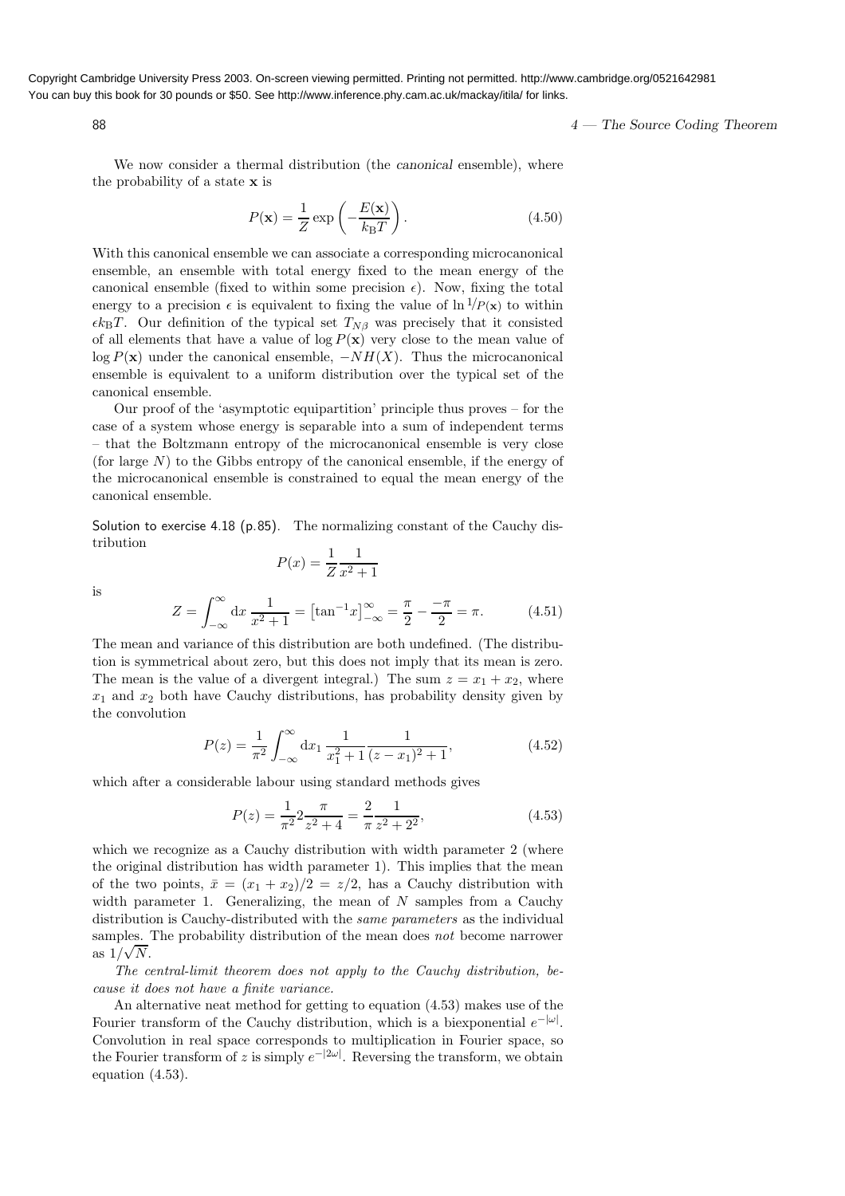Copyright Cambridge University Press 2003. On-screen viewing permitted. Printing not permitted. http://www.cambridge.org/0521642981 You can buy this book for 30 pounds or \$50. See http://www.inference.phy.cam.ac.uk/mackay/itila/ for links.

 $88$   $4$  — The Source Coding Theorem

We now consider a thermal distribution (the *canonical* ensemble), where the probability of a state x is

$$
P(\mathbf{x}) = \frac{1}{Z} \exp\left(-\frac{E(\mathbf{x})}{k_B T}\right). \tag{4.50}
$$

With this canonical ensemble we can associate a corresponding microcanonical ensemble, an ensemble with total energy fixed to the mean energy of the canonical ensemble (fixed to within some precision  $\epsilon$ ). Now, fixing the total energy to a precision  $\epsilon$  is equivalent to fixing the value of  $\ln \frac{1}{P(x)}$  to within  $\epsilon k_BT$ . Our definition of the typical set  $T_{N\beta}$  was precisely that it consisted of all elements that have a value of  $\log P(\mathbf{x})$  very close to the mean value of log  $P(x)$  under the canonical ensemble,  $-NH(X)$ . Thus the microcanonical ensemble is equivalent to a uniform distribution over the typical set of the canonical ensemble.

Our proof of the 'asymptotic equipartition' principle thus proves – for the case of a system whose energy is separable into a sum of independent terms – that the Boltzmann entropy of the microcanonical ensemble is very close (for large  $N$ ) to the Gibbs entropy of the canonical ensemble, if the energy of the microcanonical ensemble is constrained to equal the mean energy of the canonical ensemble.

Solution to exercise 4.18 (p.85). The normalizing constant of the Cauchy distribution

$$
P(x) = \frac{1}{Z} \frac{1}{x^2 + 1}
$$

is

$$
Z = \int_{-\infty}^{\infty} dx \, \frac{1}{x^2 + 1} = \left[ \tan^{-1} x \right]_{-\infty}^{\infty} = \frac{\pi}{2} - \frac{-\pi}{2} = \pi. \tag{4.51}
$$

The mean and variance of this distribution are both undefined. (The distribution is symmetrical about zero, but this does not imply that its mean is zero. The mean is the value of a divergent integral.) The sum  $z = x_1 + x_2$ , where  $x_1$  and  $x_2$  both have Cauchy distributions, has probability density given by the convolution

$$
P(z) = \frac{1}{\pi^2} \int_{-\infty}^{\infty} dx_1 \frac{1}{x_1^2 + 1} \frac{1}{(z - x_1)^2 + 1},
$$
\n(4.52)

which after a considerable labour using standard methods gives

$$
P(z) = \frac{1}{\pi^2} 2 \frac{\pi}{z^2 + 4} = \frac{2}{\pi} \frac{1}{z^2 + 2^2},
$$
\n(4.53)

which we recognize as a Cauchy distribution with width parameter 2 (where the original distribution has width parameter 1). This implies that the mean of the two points,  $\bar{x} = (x_1 + x_2)/2 = z/2$ , has a Cauchy distribution with width parameter 1. Generalizing, the mean of  $N$  samples from a Cauchy distribution is Cauchy-distributed with the same parameters as the individual samples. The probability distribution of the mean does *not* become narrower as  $1/\sqrt{N}$ .

The central-limit theorem does not apply to the Cauchy distribution, because it does not have a finite variance.

An alternative neat method for getting to equation (4.53) makes use of the Fourier transform of the Cauchy distribution, which is a biexponential  $e^{-|\omega|}$ . Convolution in real space corresponds to multiplication in Fourier space, so the Fourier transform of z is simply  $e^{-|2\omega|}$ . Reversing the transform, we obtain equation (4.53).